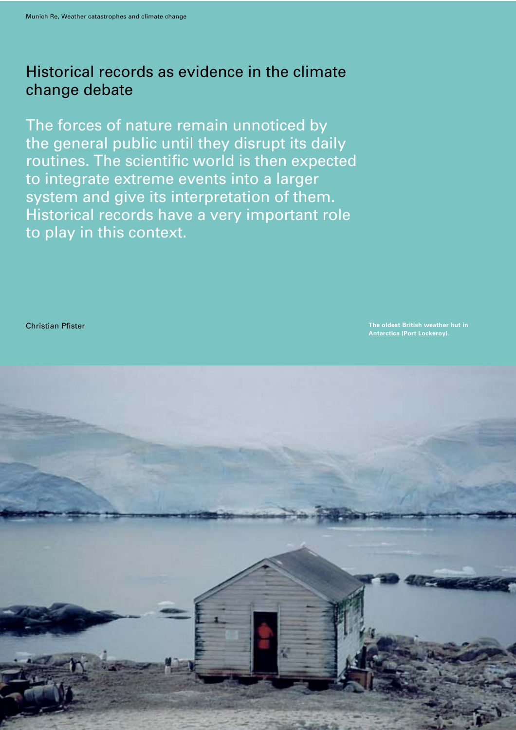## Historical records as evidence in the climate change debate

The forces of nature remain unnoticed by the general public until they disrupt its daily routines. The scientific world is then expected to integrate extreme events into a larger system and give its interpretation of them. Historical records have a very important role to play in this context.

Christian Pfister **The oldest British weather hut in Antarctica (Port Lockeroy).**

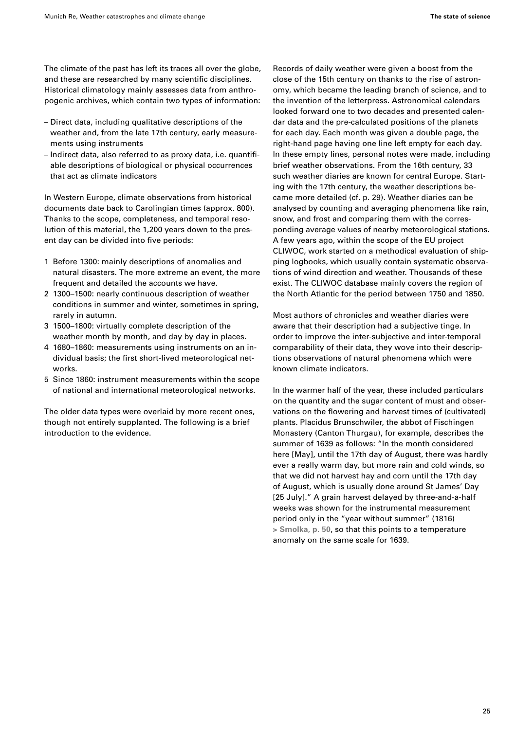The climate of the past has left its traces all over the globe, and these are researched by many scientific disciplines. Historical climatology mainly assesses data from anthropogenic archives, which contain two types of information:

- Direct data, including qualitative descriptions of the weather and, from the late 17th century, early measurements using instruments
- Indirect data, also referred to as proxy data, i.e. quantifiable descriptions of biological or physical occurrences that act as climate indicators

In Western Europe, climate observations from historical documents date back to Carolingian times (approx. 800). Thanks to the scope, completeness, and temporal resolution of this material, the 1,200 years down to the present day can be divided into five periods:

- 1 Before 1300: mainly descriptions of anomalies and natural disasters. The more extreme an event, the more frequent and detailed the accounts we have.
- 2 1300–1500: nearly continuous description of weather conditions in summer and winter, sometimes in spring, rarely in autumn.
- 3 1500–1800: virtually complete description of the weather month by month, and day by day in places.
- 4 1680–1860: measurements using instruments on an individual basis; the first short-lived meteorological networks.
- 5 Since 1860: instrument measurements within the scope of national and international meteorological networks.

The older data types were overlaid by more recent ones, though not entirely supplanted. The following is a brief introduction to the evidence.

Records of daily weather were given a boost from the close of the 15th century on thanks to the rise of astronomy, which became the leading branch of science, and to the invention of the letterpress. Astronomical calendars looked forward one to two decades and presented calendar data and the pre-calculated positions of the planets for each day. Each month was given a double page, the right-hand page having one line left empty for each day. In these empty lines, personal notes were made, including brief weather observations. From the 16th century, 33 such weather diaries are known for central Europe. Starting with the 17th century, the weather descriptions became more detailed (cf. p. 29). Weather diaries can be analysed by counting and averaging phenomena like rain, snow, and frost and comparing them with the corresponding average values of nearby meteorological stations. A few years ago, within the scope of the EU project CLIWOC, work started on a methodical evaluation of shipping logbooks, which usually contain systematic observations of wind direction and weather. Thousands of these exist. The CLIWOC database mainly covers the region of the North Atlantic for the period between 1750 and 1850.

Most authors of chronicles and weather diaries were aware that their description had a subjective tinge. In order to improve the inter-subjective and inter-temporal comparability of their data, they wove into their descriptions observations of natural phenomena which were known climate indicators.

In the warmer half of the year, these included particulars on the quantity and the sugar content of must and observations on the flowering and harvest times of (cultivated) plants. Placidus Brunschwiler, the abbot of Fischingen Monastery (Canton Thurgau), for example, describes the summer of 1639 as follows: "In the month considered here [May], until the 17th day of August, there was hardly ever a really warm day, but more rain and cold winds, so that we did not harvest hay and corn until the 17th day of August, which is usually done around St James' Day [25 July]." A grain harvest delayed by three-and-a-half weeks was shown for the instrumental measurement period only in the "year without summer" (1816) **> Smolka, p. 50**, so that this points to a temperature anomaly on the same scale for 1639.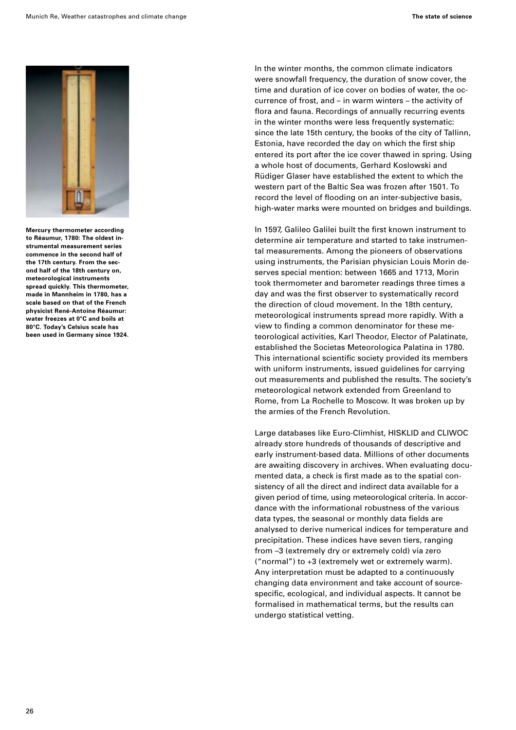

**Mercury thermometer according to Réaumur, 1780: The oldest instrumental measurement series commence in the second half of the 17th century. From the second half of the 18th century on, meteorological instruments spread quickly. This thermometer, made in Mannheim in 1780, has a scale based on that of the French physicist René-Antoine Réaumur: water freezes at 0°C and boils at 80°C. Today's Celsius scale has been used in Germany since 1924.** In the winter months, the common climate indicators were snowfall frequency, the duration of snow cover, the time and duration of ice cover on bodies of water, the occurrence of frost, and – in warm winters – the activity of flora and fauna. Recordings of annually recurring events in the winter months were less frequently systematic: since the late 15th century, the books of the city of Tallinn, Estonia, have recorded the day on which the first ship entered its port after the ice cover thawed in spring. Using a whole host of documents, Gerhard Koslowski and Rüdiger Glaser have established the extent to which the western part of the Baltic Sea was frozen after 1501. To record the level of flooding on an inter-subjective basis, high-water marks were mounted on bridges and buildings.

In 1597, Galileo Galilei built the first known instrument to determine air temperature and started to take instrumental measurements. Among the pioneers of observations using instruments, the Parisian physician Louis Morin deserves special mention: between 1665 and 1713, Morin took thermometer and barometer readings three times a day and was the first observer to systematically record the direction of cloud movement. In the 18th century, meteorological instruments spread more rapidly. With a view to finding a common denominator for these meteorological activities, Karl Theodor, Elector of Palatinate, established the Societas Meteorologica Palatina in 1780. This international scientific society provided its members with uniform instruments, issued guidelines for carrying out measurements and published the results. The society's meteorological network extended from Greenland to Rome, from La Rochelle to Moscow. It was broken up by the armies of the French Revolution.

Large databases like Euro-Climhist, HISKLID and CLIWOC already store hundreds of thousands of descriptive and early instrument-based data. Millions of other documents are awaiting discovery in archives. When evaluating documented data, a check is first made as to the spatial consistency of all the direct and indirect data available for a given period of time, using meteorological criteria. In accordance with the informational robustness of the various data types, the seasonal or monthly data fields are analysed to derive numerical indices for temperature and precipitation. These indices have seven tiers, ranging from –3 (extremely dry or extremely cold) via zero ("normal") to +3 (extremely wet or extremely warm). Any interpretation must be adapted to a continuously changing data environment and take account of sourcespecific, ecological, and individual aspects. It cannot be formalised in mathematical terms, but the results can undergo statistical vetting.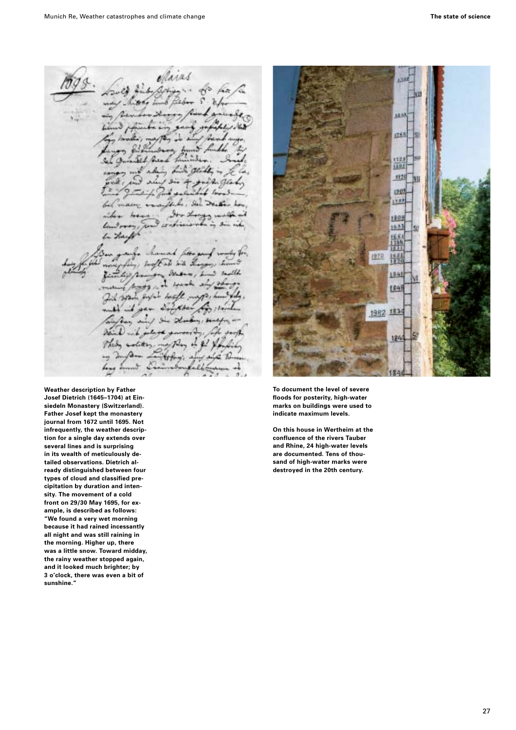Maras 2ź n

**Weather description by Father Josef Dietrich (1645–1704) at Einsiedeln Monastery (Switzerland). Father Josef kept the monastery journal from 1672 until 1695. Not infrequently, the weather description for a single day extends over several lines and is surprising in its wealth of meticulously detailed observations. Dietrich already distinguished between four types of cloud and classified precipitation by duration and intensity. The movement of a cold front on 29/30 May 1695, for example, is described as follows: "We found a very wet morning because it had rained incessantly all night and was still raining in the morning. Higher up, there was a little snow. Toward midday, the rainy weather stopped again, and it looked much brighter; by 3 o'clock, there was even a bit of sunshine."**



**To document the level of severe floods for posterity, high-water marks on buildings were used to indicate maximum levels.**

**On this house in Wertheim at the confluence of the rivers Tauber and Rhine, 24 high-water levels are documented. Tens of thousand of high-water marks were destroyed in the 20th century.**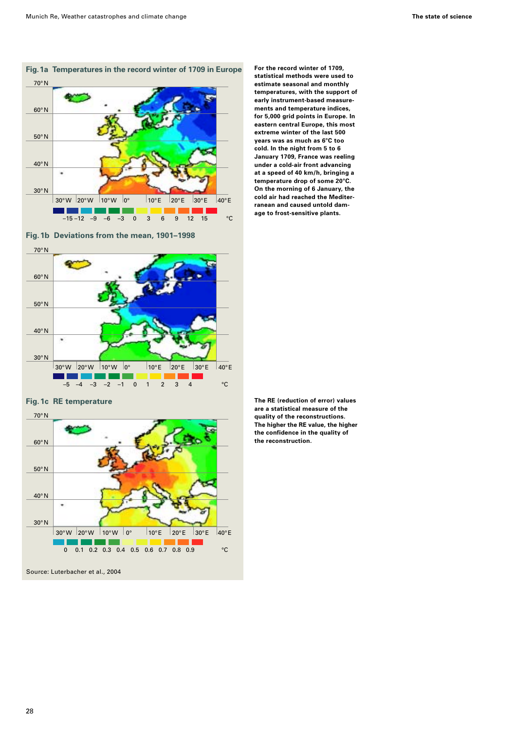

**Fig.1b Deviations from the mean, 1901–1998**



**Fig.1c RE temperature**



**For the record winter of 1709, statistical methods were used to estimate seasonal and monthly temperatures, with the support of early instrument-based measurements and temperature indices, for 5,000 grid points in Europe. In eastern central Europe, this most extreme winter of the last 500 years was as much as 6°C too cold. In the night from 5 to 6 January 1709, France was reeling under a cold-air front advancing at a speed of 40 km/h, bringing a temperature drop of some 20°C. On the morning of 6 January, the cold air had reached the Mediterranean and caused untold damage to frost-sensitive plants.** 

**The RE (reduction of error) values are a statistical measure of the quality of the reconstructions. The higher the RE value, the higher the confidence in the quality of the reconstruction.**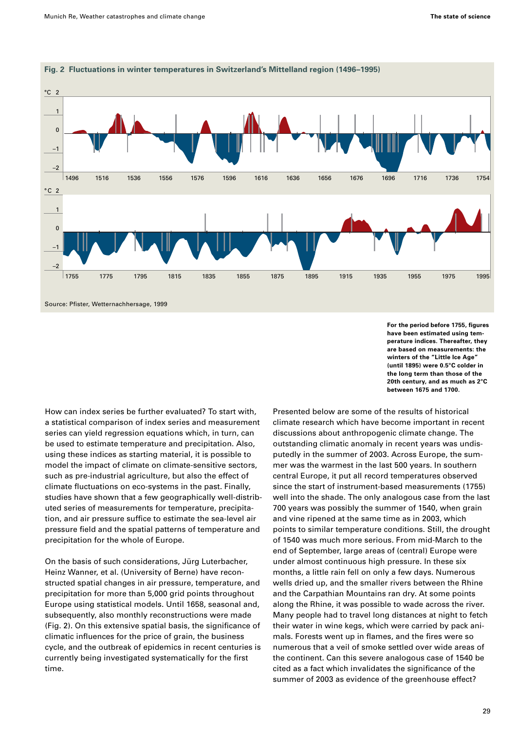

How can index series be further evaluated? To start with, a statistical comparison of index series and measurement series can yield regression equations which, in turn, can be used to estimate temperature and precipitation. Also, using these indices as starting material, it is possible to model the impact of climate on climate-sensitive sectors, such as pre-industrial agriculture, but also the effect of climate fluctuations on eco-systems in the past. Finally, studies have shown that a few geographically well-distributed series of measurements for temperature, precipitation, and air pressure suffice to estimate the sea-level air pressure field and the spatial patterns of temperature and precipitation for the whole of Europe.

On the basis of such considerations, Jürg Luterbacher, Heinz Wanner, et al. (University of Berne) have reconstructed spatial changes in air pressure, temperature, and precipitation for more than 5,000 grid points throughout Europe using statistical models. Until 1658, seasonal and, subsequently, also monthly reconstructions were made (Fig. 2). On this extensive spatial basis, the significance of climatic influences for the price of grain, the business cycle, and the outbreak of epidemics in recent centuries is currently being investigated systematically for the first time.

**For the period before 1755, figures have been estimated using temperature indices. Thereafter, they are based on measurements: the winters of the "Little Ice Age" (until 1895) were 0.5°C colder in the long term than those of the 20th century, and as much as 2°C between 1675 and 1700.**

Presented below are some of the results of historical climate research which have become important in recent discussions about anthropogenic climate change. The outstanding climatic anomaly in recent years was undisputedly in the summer of 2003. Across Europe, the summer was the warmest in the last 500 years. In southern central Europe, it put all record temperatures observed since the start of instrument-based measurements (1755) well into the shade. The only analogous case from the last 700 years was possibly the summer of 1540, when grain and vine ripened at the same time as in 2003, which points to similar temperature conditions. Still, the drought of 1540 was much more serious. From mid-March to the end of September, large areas of (central) Europe were under almost continuous high pressure. In these six months, a little rain fell on only a few days. Numerous wells dried up, and the smaller rivers between the Rhine and the Carpathian Mountains ran dry. At some points along the Rhine, it was possible to wade across the river. Many people had to travel long distances at night to fetch their water in wine kegs, which were carried by pack animals. Forests went up in flames, and the fires were so numerous that a veil of smoke settled over wide areas of the continent. Can this severe analogous case of 1540 be cited as a fact which invalidates the significance of the summer of 2003 as evidence of the greenhouse effect?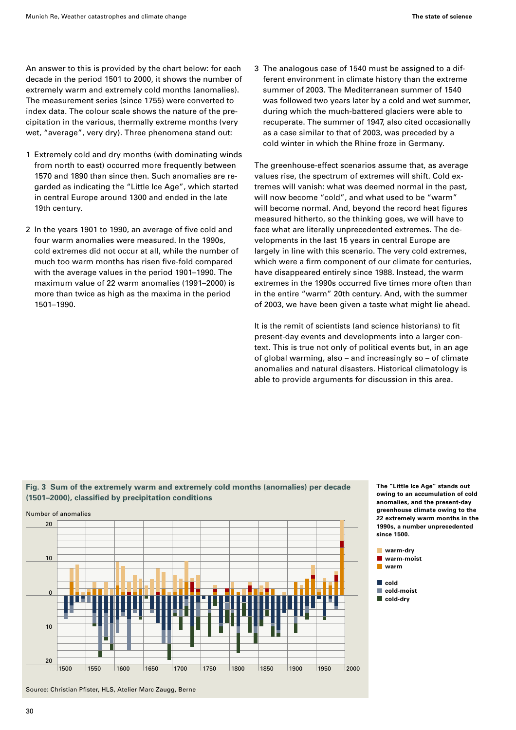An answer to this is provided by the chart below: for each decade in the period 1501 to 2000, it shows the number of extremely warm and extremely cold months (anomalies). The measurement series (since 1755) were converted to index data. The colour scale shows the nature of the precipitation in the various, thermally extreme months (very wet, "average", very dry). Three phenomena stand out:

- 1 Extremely cold and dry months (with dominating winds from north to east) occurred more frequently between 1570 and 1890 than since then. Such anomalies are regarded as indicating the "Little Ice Age", which started in central Europe around 1300 and ended in the late 19th century.
- 2 In the years 1901 to 1990, an average of five cold and four warm anomalies were measured. In the 1990s, cold extremes did not occur at all, while the number of much too warm months has risen five-fold compared with the average values in the period 1901–1990. The maximum value of 22 warm anomalies (1991–2000) is more than twice as high as the maxima in the period 1501–1990.

3 The analogous case of 1540 must be assigned to a different environment in climate history than the extreme summer of 2003. The Mediterranean summer of 1540 was followed two years later by a cold and wet summer, during which the much-battered glaciers were able to recuperate. The summer of 1947, also cited occasionally as a case similar to that of 2003, was preceded by a cold winter in which the Rhine froze in Germany.

The greenhouse-effect scenarios assume that, as average values rise, the spectrum of extremes will shift. Cold extremes will vanish: what was deemed normal in the past, will now become "cold", and what used to be "warm" will become normal. And, beyond the record heat figures measured hitherto, so the thinking goes, we will have to face what are literally unprecedented extremes. The developments in the last 15 years in central Europe are largely in line with this scenario. The very cold extremes, which were a firm component of our climate for centuries, have disappeared entirely since 1988. Instead, the warm extremes in the 1990s occurred five times more often than in the entire "warm" 20th century. And, with the summer of 2003, we have been given a taste what might lie ahead.

It is the remit of scientists (and science historians) to fit present-day events and developments into a larger context. This is true not only of political events but, in an age of global warming, also – and increasingly so – of climate anomalies and natural disasters. Historical climatology is able to provide arguments for discussion in this area.

## **Fig. 3 Sum of the extremely warm and extremely cold months (anomalies) per decade (1501–2000), classified by precipitation conditions**



**The "Little Ice Age" stands out owing to an accumulation of cold anomalies, and the present-day greenhouse climate owing to the 22 extremely warm months in the 1990s, a number unprecedented since 1500.**